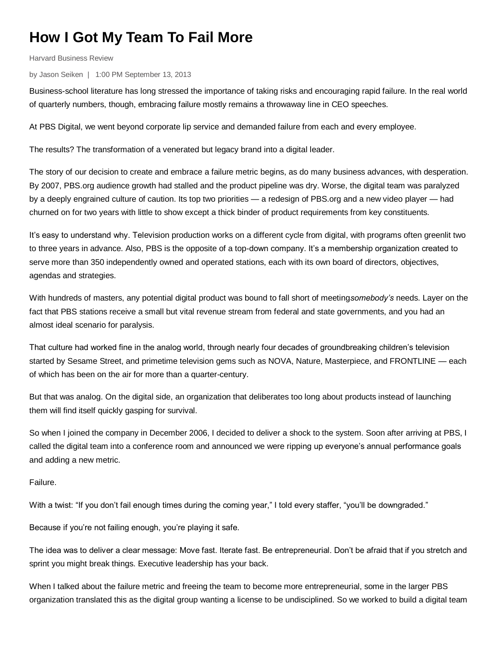## **How I Got My Team To Fail More**

Harvard Business Review

by Jason Seiken | 1:00 PM September 13, 2013

Business-school literature has long stressed the importance of taking risks and encouraging rapid failure. In the real world of quarterly numbers, though, embracing failure mostly remains a throwaway line in CEO speeches.

At PBS Digital, we went beyond corporate lip service and demanded failure from each and every employee.

The results? The transformation of a venerated but legacy brand into a digital leader.

The story of our decision to create and embrace a failure metric begins, as do many business advances, with desperation. By 2007, PBS.org audience growth had stalled and the product pipeline was dry. Worse, the digital team was paralyzed by a deeply engrained culture of caution. Its top two priorities — a redesign of PBS.org and a new video player — had churned on for two years with little to show except a thick binder of product requirements from key constituents.

It's easy to understand why. Television production works on a different cycle from digital, with programs often greenlit two to three years in advance. Also, PBS is the opposite of a top-down company. It's a membership organization created to serve more than 350 independently owned and operated stations, each with its own board of directors, objectives, agendas and strategies.

With hundreds of masters, any potential digital product was bound to fall short of meeting*somebody's* needs. Layer on the fact that PBS stations receive a small but vital revenue stream from federal and state governments, and you had an almost ideal scenario for paralysis.

That culture had worked fine in the analog world, through nearly four decades of groundbreaking children's television started by Sesame Street, and primetime television gems such as NOVA, Nature, Masterpiece, and FRONTLINE — each of which has been on the air for more than a quarter-century.

But that was analog. On the digital side, an organization that deliberates too long about products instead of launching them will find itself quickly gasping for survival.

So when I joined the company in December 2006, I decided to deliver a shock to the system. Soon after arriving at PBS, I called the digital team into a conference room and announced we were ripping up everyone's annual performance goals and adding a new metric.

Failure.

With a twist: "If you don't fail enough times during the coming year," I told every staffer, "you'll be downgraded."

Because if you're not failing enough, you're playing it safe.

The idea was to deliver a clear message: Move fast. Iterate fast. Be entrepreneurial. Don't be afraid that if you stretch and sprint you might break things. Executive leadership has your back.

When I talked about the failure metric and freeing the team to become more entrepreneurial, some in the larger PBS organization translated this as the digital group wanting a license to be undisciplined. So we worked to build a digital team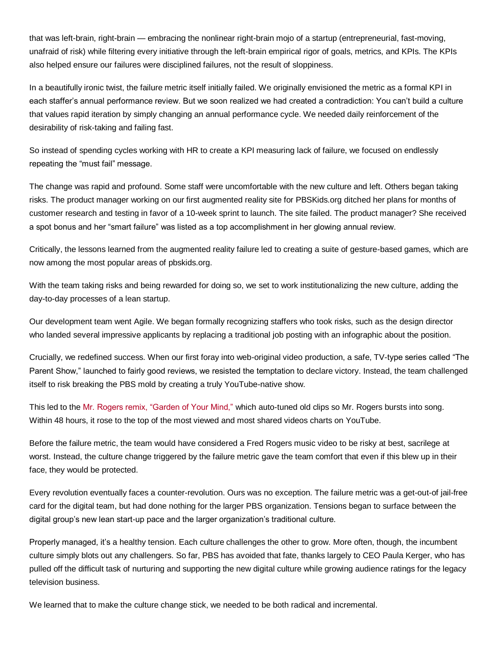that was left-brain, right-brain — embracing the nonlinear right-brain mojo of a startup (entrepreneurial, fast-moving, unafraid of risk) while filtering every initiative through the left-brain empirical rigor of goals, metrics, and KPIs. The KPIs also helped ensure our failures were disciplined failures, not the result of sloppiness.

In a beautifully ironic twist, the failure metric itself initially failed. We originally envisioned the metric as a formal KPI in each staffer's annual performance review. But we soon realized we had created a contradiction: You can't build a culture that values rapid iteration by simply changing an annual performance cycle. We needed daily reinforcement of the desirability of risk-taking and failing fast.

So instead of spending cycles working with HR to create a KPI measuring lack of failure, we focused on endlessly repeating the "must fail" message.

The change was rapid and profound. Some staff were uncomfortable with the new culture and left. Others began taking risks. The product manager working on our first augmented reality site for PBSKids.org ditched her plans for months of customer research and testing in favor of a 10-week sprint to launch. The site failed. The product manager? She received a spot bonus and her "smart failure" was listed as a top accomplishment in her glowing annual review.

Critically, the lessons learned from the augmented reality failure led to creating a suite of gesture-based games, which are now among the most popular areas of pbskids.org.

With the team taking risks and being rewarded for doing so, we set to work institutionalizing the new culture, adding the day-to-day processes of a lean startup.

Our development team went Agile. We began formally recognizing staffers who took risks, such as the design director who landed several impressive applicants by replacing a traditional job posting with an infographic about the position.

Crucially, we redefined success. When our first foray into web-original video production, a safe, TV-type series called "The Parent Show," launched to fairly good reviews, we resisted the temptation to declare victory. Instead, the team challenged itself to risk breaking the PBS mold by creating a truly YouTube-native show.

This led to the [Mr. Rogers remix, "Garden of Your Mind,"](http://www.youtube.com/watch?v=OFzXaFbxDcM) which auto-tuned old clips so Mr. Rogers bursts into song. Within 48 hours, it rose to the top of the most viewed and most shared videos charts on YouTube.

Before the failure metric, the team would have considered a Fred Rogers music video to be risky at best, sacrilege at worst. Instead, the culture change triggered by the failure metric gave the team comfort that even if this blew up in their face, they would be protected.

Every revolution eventually faces a counter-revolution. Ours was no exception. The failure metric was a get-out-of jail-free card for the digital team, but had done nothing for the larger PBS organization. Tensions began to surface between the digital group's new lean start-up pace and the larger organization's traditional culture.

Properly managed, it's a healthy tension. Each culture challenges the other to grow. More often, though, the incumbent culture simply blots out any challengers. So far, PBS has avoided that fate, thanks largely to CEO Paula Kerger, who has pulled off the difficult task of nurturing and supporting the new digital culture while growing audience ratings for the legacy television business.

We learned that to make the culture change stick, we needed to be both radical and incremental.